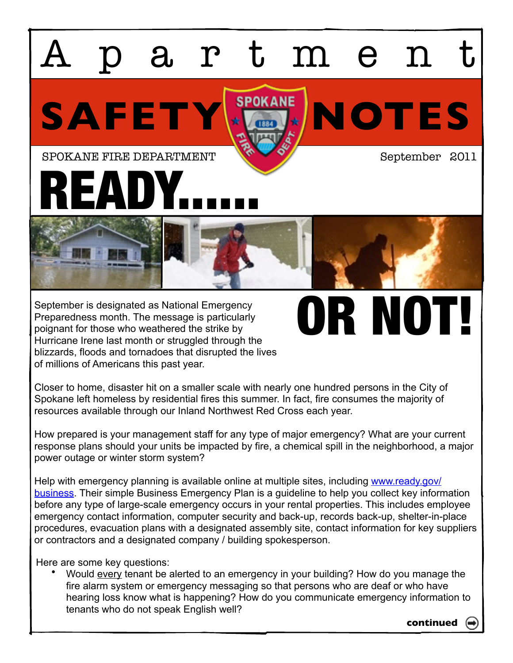

September is designated as National Emergency Preparedness month. The message is particularly poignant for those who weathered the strike by Hurricane Irene last month or struggled through the blizzards, floods and tornadoes that disrupted the lives of millions of Americans this past year.

## Closer to home, disaster hit on a smaller scale with nearly one hundred persons in the City of Spokane left homeless by residential fires this summer. In fact, fire consumes the majority of resources available through our Inland Northwest Red Cross each year.

How prepared is your management staff for any type of major emergency? What are your current response plans should your units be impacted by fire, a chemical spill in the neighborhood, a major power outage or winter storm system?

Help with emergency planning is available online at multiple sites, including [www.ready.gov/](http://www.ready.gov/business) [business.](http://www.ready.gov/business) Their simple Business Emergency Plan is a guideline to help you collect key information before any type of large-scale emergency occurs in your rental properties. This includes employee emergency contact information, computer security and back-up, records back-up, shelter-in-place procedures, evacuation plans with a designated assembly site, contact information for key suppliers or contractors and a designated company / building spokesperson.

Here are some key questions:

• Would every tenant be alerted to an emergency in your building? How do you manage the fire alarm system or emergency messaging so that persons who are deaf or who have hearing loss know what is happening? How do you communicate emergency information to tenants who do not speak English well?

**continued**